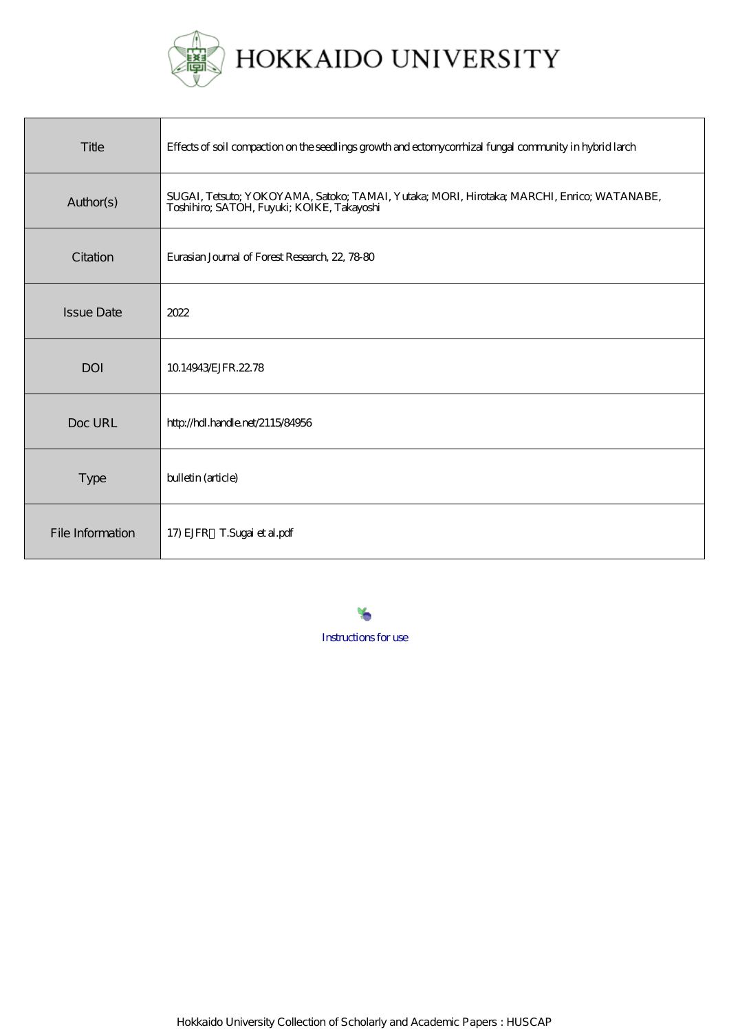

| Title             | Effects of soil compaction on the seedlings growth and ectonyconhizal fungal community in hybrid larch                                   |
|-------------------|------------------------------------------------------------------------------------------------------------------------------------------|
| Author(s)         | SUGAI, Tetsuto; YOKOYAMA, Satoko; TAMAI, Yutaka; MORI, Hirotaka; MARCHI, Enrico; WATANABE,<br>Toshihiro; SATOH, Fuyuki; KOIKE, Takayoshi |
| Citation          | Eurasian Journal of Forest Research, 22, 78-80                                                                                           |
| <b>Issue Date</b> | 2022                                                                                                                                     |
| <b>DOI</b>        | 10.14943/EJFR.2278                                                                                                                       |
| Doc URL           | http://hdl.handle.net/2115/84956                                                                                                         |
| Type              | bulletin (article)                                                                                                                       |
| File Information  | 17) EJFR T.Sugai et al.pdf                                                                                                               |

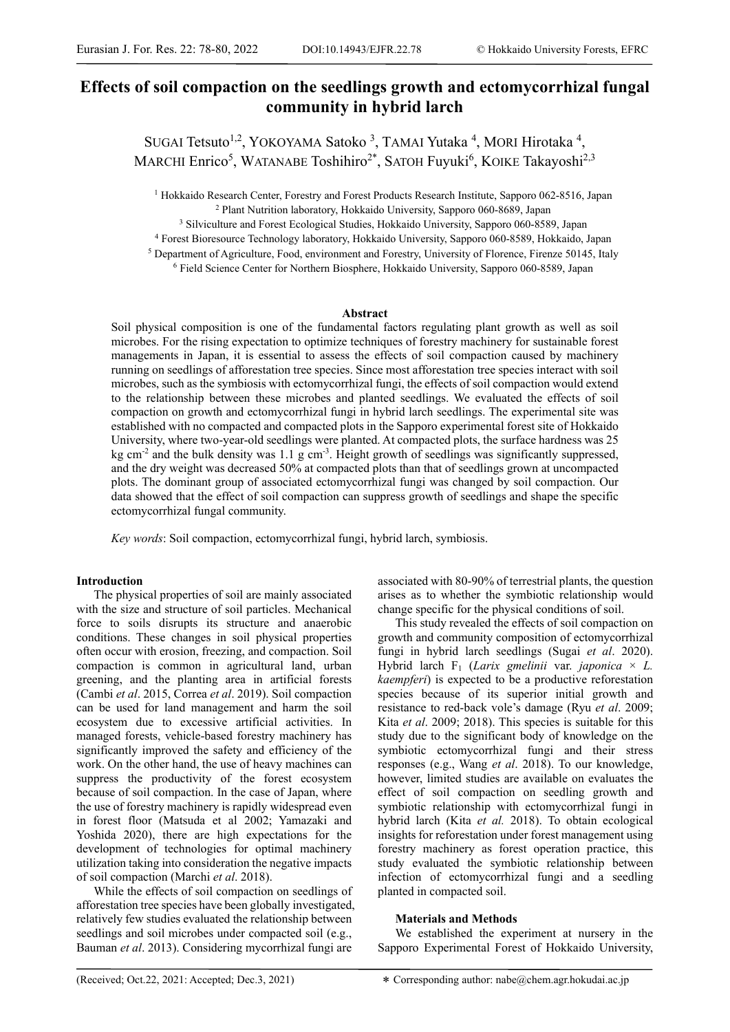# **Effects of soil compaction on the seedlings growth and ectomycorrhizal fungal community in hybrid larch**

SUGAI Tetsuto<sup>1,2</sup>, YOKOYAMA Satoko<sup>3</sup>, TAMAI Yutaka<sup>4</sup>, MORI Hirotaka<sup>4</sup>, MARCHI Enrico<sup>5</sup>, WATANABE Toshihiro<sup>2\*</sup>, SATOH Fuyuki<sup>6</sup>, KOIKE Takayoshi<sup>2,3</sup>

<sup>1</sup> Hokkaido Research Center, Forestry and Forest Products Research Institute, Sapporo 062-8516, Japan

<sup>2</sup> Plant Nutrition laboratory, Hokkaido University, Sapporo 060-8689, Japan<br><sup>3</sup> Silviculture and Forest Ecological Studies, Hokkaido University, Sapporo 060-8589, Japan<br><sup>4</sup> Forest Bioresource Technology laboratory, Hokkai

### **Abstract**

Soil physical composition is one of the fundamental factors regulating plant growth as well as soil microbes. For the rising expectation to optimize techniques of forestry machinery for sustainable forest managements in Japan, it is essential to assess the effects of soil compaction caused by machinery running on seedlings of afforestation tree species. Since most afforestation tree species interact with soil microbes, such as the symbiosis with ectomycorrhizal fungi, the effects of soil compaction would extend to the relationship between these microbes and planted seedlings. We evaluated the effects of soil compaction on growth and ectomycorrhizal fungi in hybrid larch seedlings. The experimental site was established with no compacted and compacted plots in the Sapporo experimental forest site of Hokkaido University, where two-year-old seedlings were planted. At compacted plots, the surface hardness was 25 kg cm<sup>-2</sup> and the bulk density was 1.1 g cm<sup>-3</sup>. Height growth of seedlings was significantly suppressed, and the dry weight was decreased 50% at compacted plots than that of seedlings grown at uncompacted plots. The dominant group of associated ectomycorrhizal fungi was changed by soil compaction. Our data showed that the effect of soil compaction can suppress growth of seedlings and shape the specific ectomycorrhizal fungal community.

*Key words*: Soil compaction, ectomycorrhizal fungi, hybrid larch, symbiosis.

## **Introduction**

The physical properties of soil are mainly associated with the size and structure of soil particles. Mechanical force to soils disrupts its structure and anaerobic conditions. These changes in soil physical properties often occur with erosion, freezing, and compaction. Soil compaction is common in agricultural land, urban greening, and the planting area in artificial forests (Cambi *et al*. 2015, Correa *et al*. 2019). Soil compaction can be used for land management and harm the soil ecosystem due to excessive artificial activities. In managed forests, vehicle-based forestry machinery has significantly improved the safety and efficiency of the work. On the other hand, the use of heavy machines can suppress the productivity of the forest ecosystem because of soil compaction. In the case of Japan, where the use of forestry machinery is rapidly widespread even in forest floor (Matsuda et al 2002; Yamazaki and Yoshida 2020), there are high expectations for the development of technologies for optimal machinery utilization taking into consideration the negative impacts of soil compaction (Marchi *et al*. 2018).

While the effects of soil compaction on seedlings of afforestation tree species have been globally investigated, relatively few studies evaluated the relationship between seedlings and soil microbes under compacted soil (e.g., Bauman *et al*. 2013). Considering mycorrhizal fungi are

associated with 80-90% of terrestrial plants, the question arises as to whether the symbiotic relationship would change specific for the physical conditions of soil.

This study revealed the effects of soil compaction on growth and community composition of ectomycorrhizal fungi in hybrid larch seedlings (Sugai *et al*. 2020). Hybrid larch  $F_1$  (*Larix gmelinii* var. *japonica*  $\times$  *L*. *kaempferi*) is expected to be a productive reforestation species because of its superior initial growth and resistance to red-back vole's damage (Ryu *et al*. 2009; Kita *et al*. 2009; 2018). This species is suitable for this study due to the significant body of knowledge on the symbiotic ectomycorrhizal fungi and their stress responses (e.g., Wang *et al*. 2018). To our knowledge, however, limited studies are available on evaluates the effect of soil compaction on seedling growth and symbiotic relationship with ectomycorrhizal fungi in hybrid larch (Kita *et al.* 2018). To obtain ecological insights for reforestation under forest management using forestry machinery as forest operation practice, this study evaluated the symbiotic relationship between infection of ectomycorrhizal fungi and a seedling planted in compacted soil.

## **Materials and Methods**

We established the experiment at nursery in the Sapporo Experimental Forest of Hokkaido University,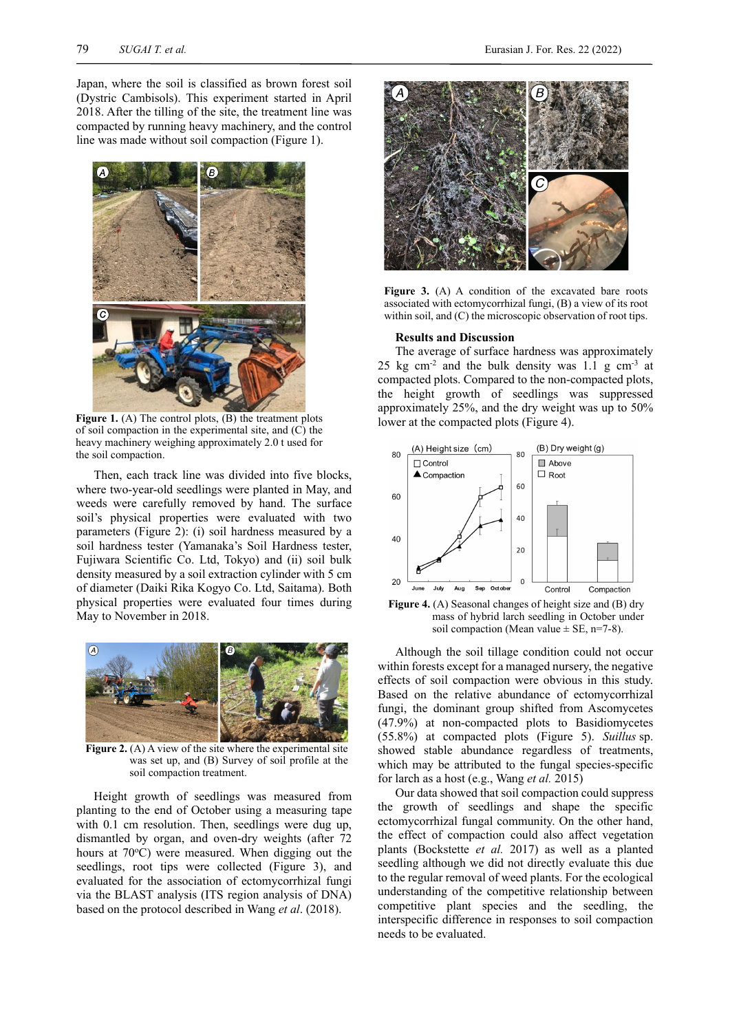Japan, where the soil is classified as brown forest soil (Dystric Cambisols). This experiment started in April 2018. After the tilling of the site, the treatment line was compacted by running heavy machinery, and the control line was made without soil compaction (Figure 1).



Figure 1. (A) The control plots, (B) the treatment plots of soil compaction in the experimental site, and (C) the heavy machinery weighing approximately 2.0 t used for the soil compaction.

Then, each track line was divided into five blocks, where two-year-old seedlings were planted in May, and weeds were carefully removed by hand. The surface soil's physical properties were evaluated with two parameters (Figure 2): (i) soil hardness measured by a soil hardness tester (Yamanaka's Soil Hardness tester, Fujiwara Scientific Co. Ltd, Tokyo) and (ii) soil bulk density measured by a soil extraction cylinder with 5 cm of diameter (Daiki Rika Kogyo Co. Ltd, Saitama). Both physical properties were evaluated four times during May to November in 2018.



**Figure 2.** (A) A view of the site where the experimental site was set up, and (B) Survey of soil profile at the soil compaction treatment.

Height growth of seedlings was measured from planting to the end of October using a measuring tape with 0.1 cm resolution. Then, seedlings were dug up, dismantled by organ, and oven-dry weights (after 72 hours at 70°C) were measured. When digging out the seedlings, root tips were collected (Figure 3), and evaluated for the association of ectomycorrhizal fungi via the BLAST analysis (ITS region analysis of DNA) based on the protocol described in Wang *et al*. (2018).



Figure 3. (A) A condition of the excavated bare roots associated with ectomycorrhizal fungi, (B) a view of its root within soil, and (C) the microscopic observation of root tips.

#### **Results and Discussion**

The average of surface hardness was approximately 25 kg cm<sup>-2</sup> and the bulk density was 1.1 g cm<sup>-3</sup> at compacted plots. Compared to the non-compacted plots, the height growth of seedlings was suppressed approximately 25%, and the dry weight was up to 50% lower at the compacted plots (Figure 4).



Figure 4. (A) Seasonal changes of height size and (B) dry mass of hybrid larch seedling in October under soil compaction (Mean value  $\pm$  SE, n=7-8).

Although the soil tillage condition could not occur within forests except for a managed nursery, the negative effects of soil compaction were obvious in this study. Based on the relative abundance of ectomycorrhizal fungi, the dominant group shifted from Ascomycetes (47.9%) at non-compacted plots to Basidiomycetes (55.8%) at compacted plots (Figure 5). *Suillus* sp. showed stable abundance regardless of treatments, which may be attributed to the fungal species-specific for larch as a host (e.g., Wang *et al.* 2015)

Our data showed that soil compaction could suppress the growth of seedlings and shape the specific ectomycorrhizal fungal community. On the other hand, the effect of compaction could also affect vegetation plants (Bockstette *et al.* 2017) as well as a planted seedling although we did not directly evaluate this due to the regular removal of weed plants. For the ecological understanding of the competitive relationship between competitive plant species and the seedling, the interspecific difference in responses to soil compaction needs to be evaluated.